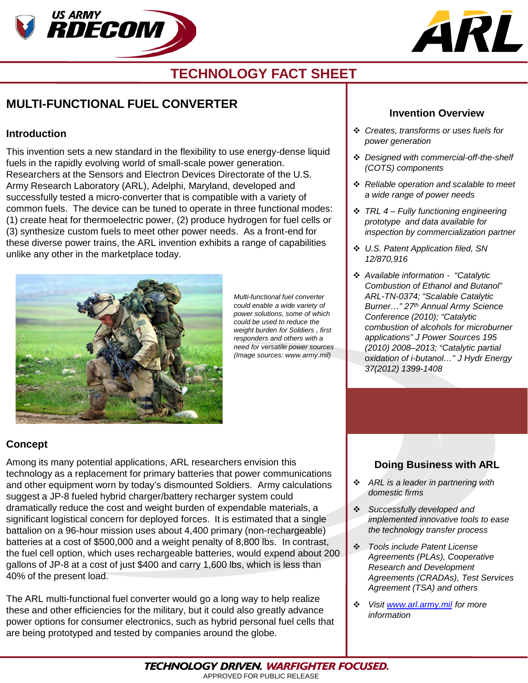



# **TECHNOLOGY FACT SHEET**

## **MULTI-FUNCTIONAL FUEL CONVERTER**

#### **Introduction**

This invention sets a new standard in the flexibility to use energy-dense liquid fuels in the rapidly evolving world of small-scale power generation. Researchers at the Sensors and Electron Devices Directorate of the U.S. Army Research Laboratory (ARL), Adelphi, Maryland, developed and successfully tested a micro-converter that is compatible with a variety of common fuels. The device can be tuned to operate in three functional modes: (1) create heat for thermoelectric power, (2) produce hydrogen for fuel cells or (3) synthesize custom fuels to meet other power needs. As a front-end for these diverse power trains, the ARL invention exhibits a range of capabilities unlike any other in the marketplace today.



*Multi-functional fuel converter could enable a wide variety of power solutions, some of which could be used to reduce the weight burden for Soldiers , first responders and others with a need for versatile power sources (Image sources: www.army.mil)*

#### **Invention Overview**

- *Creates, transforms or uses fuels for power generation*
- *Designed with commercial-off-the-shelf (COTS) components*
- *Reliable operation and scalable to meet a wide range of power needs*
- *TRL 4 – Fully functioning engineering prototype and data available for inspection by commercialization partner*
- *U.S. Patent Application filed, SN 12/870,916*
- *Available information "Catalytic Combustion of Ethanol and Butanol" ARL-TN-0374; "Scalable Catalytic Burner…" 27th Annual Army Science Conference (2010); "Catalytic combustion of alcohols for microburner applications" J Power Sources 195 (2010) 2008–2013; "Catalytic partial oxidation of i-butanol…" J Hydr Energy 37(2012) 1399-1408*

### **Concept**

Among its many potential applications, ARL researchers envision this technology as a replacement for primary batteries that power communications and other equipment worn by today's dismounted Soldiers. Army calculations suggest a JP-8 fueled hybrid charger/battery recharger system could dramatically reduce the cost and weight burden of expendable materials, a significant logistical concern for deployed forces. It is estimated that a single battalion on a 96-hour mission uses about 4,400 primary (non-rechargeable) batteries at a cost of \$500,000 and a weight penalty of 8,800 lbs. In contrast, the fuel cell option, which uses rechargeable batteries, would expend about 200 gallons of JP-8 at a cost of just \$400 and carry 1,600 lbs, which is less than 40% of the present load.

The ARL multi-functional fuel converter would go a long way to help realize these and other efficiencies for the military, but it could also greatly advance power options for consumer electronics, such as hybrid personal fuel cells that are being prototyped and tested by companies around the globe.

### **Doing Business with ARL**

- *ARL is a leader in partnering with domestic firms*
- *Successfully developed and implemented innovative tools to ease the technology transfer process*
- *Tools include Patent License Agreements (PLAs), Cooperative Research and Development Agreements (CRADAs), Test Services Agreement (TSA) and others*
- *Visit [www.arl.army.mil](http://www.arl.army.mil/) for more information*